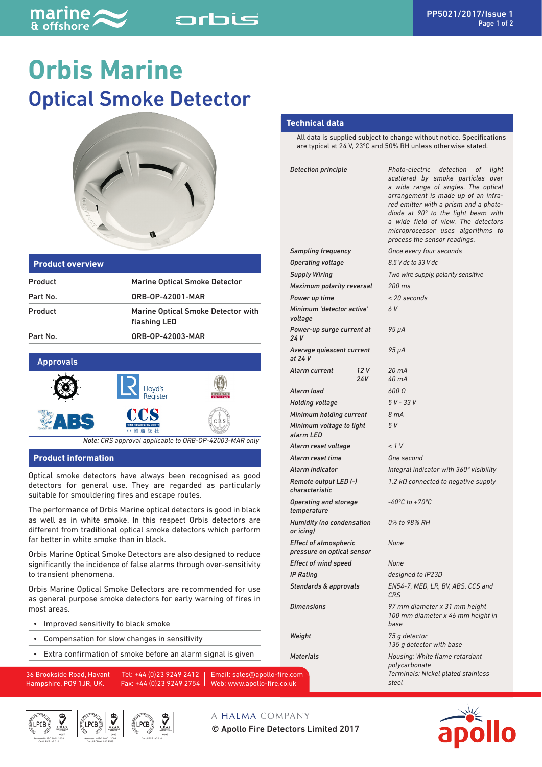# **Orbis Marine** Optical Smoke Detector

orbis



| <b>Product overview</b> |                                                           |
|-------------------------|-----------------------------------------------------------|
| Product                 | <b>Marine Optical Smoke Detector</b>                      |
| Part No.                | ORB-0P-42001-MAR                                          |
| Product                 | <b>Marine Optical Smoke Detector with</b><br>flashing LED |
| Part No.                | ORB-OP-42003-MAR                                          |



*Note: CRS approval applicable to ORB-OP-42003-MAR only*

#### **Product information**

Optical smoke detectors have always been recognised as good detectors for general use. They are regarded as particularly suitable for smouldering fires and escape routes.

The performance of Orbis Marine optical detectors is good in black as well as in white smoke. In this respect Orbis detectors are different from traditional optical smoke detectors which perform far better in white smoke than in black.

Orbis Marine Optical Smoke Detectors are also designed to reduce significantly the incidence of false alarms through over-sensitivity to transient phenomena.

Orbis Marine Optical Smoke Detectors are recommended for use as general purpose smoke detectors for early warning of fires in most areas.

- Improved sensitivity to black smoke
- Compensation for slow changes in sensitivity
- Extra confirmation of smoke before an alarm signal is given

36 Brookside Road, Havant Hampshire, PO9 1JR, UK.

Tel: +44 (0)23 9249 2412 Fax: +44 (0)23 9249 2754 Web: www.apollo-fire.co.uk Email: sales@apollo-fire.

© Apollo Fire Detectors Limited 2017

A HALMA COMPANY





#### **Technical data**

All data is supplied subject to change without notice. Specifications are typical at 24 V, 23ºC and 50% RH unless otherwise stated.

| Detection principle                                        |     | Photo-electric detection of<br>light<br>scattered by smoke particles over<br>a wide range of angles. The optical<br>arrangement is made up of an infra-<br>red emitter with a prism and a photo-<br>diode at 90° to the light beam with<br>a wide field of view. The detectors<br>microprocessor uses algorithms<br>to<br>process the sensor readings. |
|------------------------------------------------------------|-----|--------------------------------------------------------------------------------------------------------------------------------------------------------------------------------------------------------------------------------------------------------------------------------------------------------------------------------------------------------|
| <b>Sampling frequency</b>                                  |     | Once every four seconds                                                                                                                                                                                                                                                                                                                                |
| <b>Operating voltage</b>                                   |     | 8.5 V dc to 33 V dc                                                                                                                                                                                                                                                                                                                                    |
| <b>Supply Wiring</b>                                       |     | Two wire supply, polarity sensitive                                                                                                                                                                                                                                                                                                                    |
| Maximum polarity reversal                                  |     | 200 ms                                                                                                                                                                                                                                                                                                                                                 |
| Power up time                                              |     | < 20 seconds                                                                                                                                                                                                                                                                                                                                           |
| Minimum 'detector active'<br>voltage                       |     | 6V                                                                                                                                                                                                                                                                                                                                                     |
| Power-up surge current at<br>24 V                          |     | 95 µA                                                                                                                                                                                                                                                                                                                                                  |
| Average quiescent current<br>at 24 V                       |     | 95 µA                                                                                                                                                                                                                                                                                                                                                  |
| Alarm current                                              | 12V | $20 \text{ mA}$                                                                                                                                                                                                                                                                                                                                        |
|                                                            | 24V | $40 \text{ mA}$                                                                                                                                                                                                                                                                                                                                        |
| Alarm load                                                 |     | 600 Q                                                                                                                                                                                                                                                                                                                                                  |
| <b>Holding voltage</b>                                     |     | $5V - 33V$                                                                                                                                                                                                                                                                                                                                             |
| Minimum holding current                                    |     | 8 mA                                                                                                                                                                                                                                                                                                                                                   |
| Minimum voltage to light<br>alarm LED                      |     | 5 V                                                                                                                                                                                                                                                                                                                                                    |
| Alarm reset voltage                                        |     | < 1 V                                                                                                                                                                                                                                                                                                                                                  |
| Alarm reset time                                           |     | One second                                                                                                                                                                                                                                                                                                                                             |
| Alarm indicator                                            |     | Integral indicator with 360° visibility                                                                                                                                                                                                                                                                                                                |
| Remote output LED (-)<br>characteristic                    |     | 1.2 $k\Omega$ connected to negative supply                                                                                                                                                                                                                                                                                                             |
| Operating and storage<br>temperature                       |     | $-40^{\circ}$ C to $+70^{\circ}$ C                                                                                                                                                                                                                                                                                                                     |
| <b>Humidity (no condensation</b><br>or icing)              |     | 0% to 98% RH                                                                                                                                                                                                                                                                                                                                           |
| <b>Effect of atmospheric</b><br>pressure on optical sensor |     | None                                                                                                                                                                                                                                                                                                                                                   |
| <b>Effect of wind speed</b>                                |     | None                                                                                                                                                                                                                                                                                                                                                   |
| <b>IP Rating</b>                                           |     | designed to IP23D                                                                                                                                                                                                                                                                                                                                      |
| Standards & approvals                                      |     | EN54-7, MED, LR, BV, ABS, CCS and<br><b>CRS</b>                                                                                                                                                                                                                                                                                                        |
| Dimensions                                                 |     | 97 mm diameter x 31 mm height<br>100 mm diameter x 46 mm height in<br>base                                                                                                                                                                                                                                                                             |
| Weight                                                     |     | 75 g detector<br>135 g detector with base                                                                                                                                                                                                                                                                                                              |
| Materials<br>com                                           |     | Housing: White flame retardant<br>polycarbonate<br>Terminals: Nickel plated stainless                                                                                                                                                                                                                                                                  |
| uk                                                         |     | steel                                                                                                                                                                                                                                                                                                                                                  |